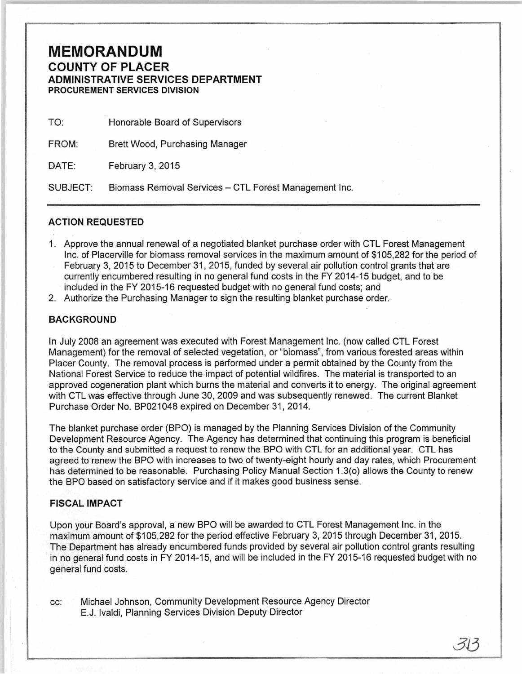## **MEMORANDUM**  COUNTY OF PLACER ADMINISTRATIVE SERVICES DEPARTMENT PROCUREMENT SERVICES DIVISION

| TO:      | Honorable Board of Supervisors                        |
|----------|-------------------------------------------------------|
| FROM:    | Brett Wood, Purchasing Manager                        |
| DATE:    | February 3, 2015                                      |
| SUBJECT: | Biomass Removal Services - CTL Forest Management Inc. |

## ACTION REQUESTED

- 1. Approve the annual renewal of a negotiated blanket purchase order with CTL Forest Management Inc. of Placerville for biomass removal services in the maximum amount of \$105,282 for the period of February 3, 2015 to December 31, 2015, funded by several air pollution control grants that are currently encumbered resulting in no general fund costs in the FY 2014-15 budget, and to be included in the FY 2015-16 requested budget with no general fund costs; and
- 2. Authorize the Purchasing Manager to sign the resulting blanket purchase order.

## **BACKGROUND**

In July 2008 an agreement was executed with Forest Management Inc. (now called CTL Forest Management) for the removal of selected vegetation, or "biomass", from various forested areas within Placer County. The removal process is performed under a permit obtained by the County from the National Forest Service to reduce the impact of potential wildfires. The material is transported to an approved cogeneration plant which burns the material and converts it to energy. The original agreement with CTL was effective through June 30, 2009 and was subsequently renewed. The current Blanket Purchase Order No. BP021048 expired on December 31, 2014.

The blanket purchase order (BPO) is managed by the Planning Services Division of the Community Development Resource Agency. The Agency has determined that continuing this program is beneficial to the County and submitted a request to renew the BPO with CTL for an additional year. CTL has agreed to renew the BPO with increases to two of twenty-eight hourly and day rates, which Procurement has determined to be reasonable. Purchasing Policy Manual Section 1.3(o) allows the County to renew the BPO based on satisfactory service and if it makes good business sense.

## FISCAL IMPACT

Upon your Board's approval, a new BPO will be awarded to CTL Forest Management Inc. in the maximum amount of \$105,282 for the period effective February 3, 2015 through December 31, 2015. The Department has already encumbered funds provided by several air pollution control grants resulting in no general fund costs in FY 2014-15, and will be included in the FY 2015-16 requested budget with no general fund costs.

cc: Michael Johnson, Community Development Resource Agency Director E.J. lvaldi, Planning Services Division Deputy Director